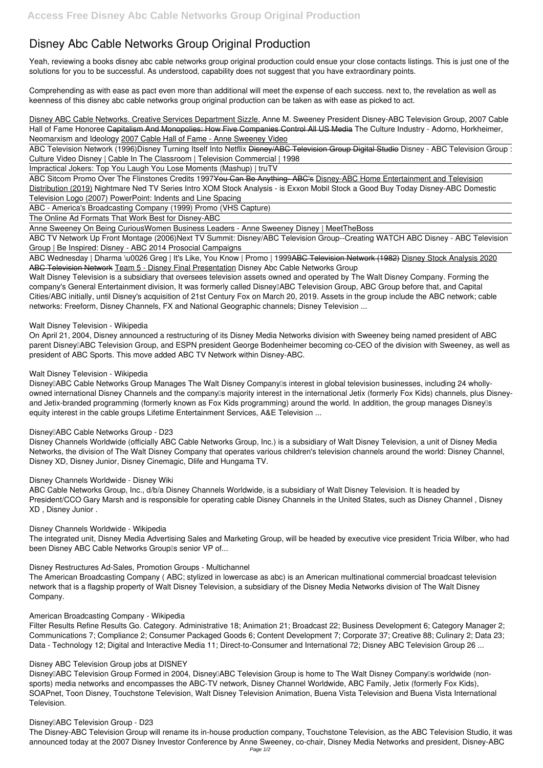# **Disney Abc Cable Networks Group Original Production**

Yeah, reviewing a books **disney abc cable networks group original production** could ensue your close contacts listings. This is just one of the solutions for you to be successful. As understood, capability does not suggest that you have extraordinary points.

Comprehending as with ease as pact even more than additional will meet the expense of each success. next to, the revelation as well as keenness of this disney abc cable networks group original production can be taken as with ease as picked to act.

ABC Sitcom Promo Over The Flinstones Credits 1997<del>You Can Be Anything-ABC's</del> Disney-ABC Home Entertainment and Television Distribution (2019) Nightmare Ned TV Series Intro *XOM Stock Analysis - is Exxon Mobil Stock a Good Buy Today Disney-ABC Domestic Television Logo (2007) PowerPoint: Indents and Line Spacing*

Disney ABC Cable Networks. Creative Services Department Sizzle. *Anne M. Sweeney President Disney-ABC Television Group, 2007 Cable Hall of Fame Honoree* Capitalism And Monopolies: How Five Companies Control All US Media *The Culture Industry - Adorno, Horkheimer, Neomarxism and Ideology* 2007 Cable Hall of Fame - Anne Sweeney Video

ABC Television Network (1996)*Disney Turning Itself Into Netflix* Disney/ABC Television Group Digital Studio *Disney - ABC Television Group : Culture Video Disney | Cable In The Classroom | Television Commercial | 1998*

ABC Wednesday | Dharma \u0026 Greg | It's Like, You Know | Promo | 1999ABC Television Network (1982) Disney Stock Analysis 2020 ABC Television Network Team 5 - Disney Final Presentation **Disney Abc Cable Networks Group**

Impractical Jokers: Top You Laugh You Lose Moments (Mashup) | truTV

ABC - America's Broadcasting Company (1999) Promo (VHS Capture)

The Online Ad Formats That Work Best for Disney-ABC

Anne Sweeney On Being Curious**Women Business Leaders - Anne Sweeney Disney | MeetTheBoss**

Disney<sup>[]</sup>ABC Cable Networks Group Manages The Walt Disney Company<sup>[]</sup>s interest in global television businesses, including 24 whollyowned international Disney Channels and the company<sup>®</sup>s majority interest in the international Jetix (formerly Fox Kids) channels, plus Disneyand Jetix-branded programming (formerly known as Fox Kids programming) around the world. In addition, the group manages Disneylls equity interest in the cable groups Lifetime Entertainment Services, A&E Television ...

## **Disney**[ABC Cable Networks Group - D23

ABC TV Network Up Front Montage (2006)*Next TV Summit: Disney/ABC Television Group--Creating WATCH ABC Disney - ABC Television Group | Be Inspired: Disney - ABC 2014 Prosocial Campaigns*

The integrated unit, Disney Media Advertising Sales and Marketing Group, will be headed by executive vice president Tricia Wilber, who had been Disney ABC Cable Networks Grouplls senior VP of...

Walt Disney Television is a subsidiary that oversees television assets owned and operated by The Walt Disney Company. Forming the company's General Entertainment division, It was formerly called Disney<sub>[]</sub>ABC Television Group, ABC Group before that, and Capital Cities/ABC initially, until Disney's acquisition of 21st Century Fox on March 20, 2019. Assets in the group include the ABC network; cable networks: Freeform, Disney Channels, FX and National Geographic channels; Disney Television ...

## **Walt Disney Television - Wikipedia**

Disney<sub>[]</sub>ABC Television Group Formed in 2004, Disney<sup>[</sup>]ABC Television Group is home to The Walt Disney Company<sup>[]</sup>s worldwide (nonsports) media networks and encompasses the ABC-TV network, Disney Channel Worldwide, ABC Family, Jetix (formerly Fox Kids), SOAPnet, Toon Disney, Touchstone Television, Walt Disney Television Animation, Buena Vista Television and Buena Vista International Television.

#### **Disney**<sup>I</sup>ABC Television Group - D23

On April 21, 2004, Disney announced a restructuring of its Disney Media Networks division with Sweeney being named president of ABC parent Disney<sup>[]</sup>ABC Television Group, and ESPN president George Bodenheimer becoming co-CEO of the division with Sweeney, as well as president of ABC Sports. This move added ABC TV Network within Disney-ABC.

## **Walt Disney Television - Wikipedia**

Disney Channels Worldwide (officially ABC Cable Networks Group, Inc.) is a subsidiary of Walt Disney Television, a unit of Disney Media Networks, the division of The Walt Disney Company that operates various children's television channels around the world: Disney Channel, Disney XD, Disney Junior, Disney Cinemagic, Dlife and Hungama TV.

## **Disney Channels Worldwide - Disney Wiki**

ABC Cable Networks Group, Inc., d/b/a Disney Channels Worldwide, is a subsidiary of Walt Disney Television. It is headed by President/CCO Gary Marsh and is responsible for operating cable Disney Channels in the United States, such as Disney Channel , Disney XD , Disney Junior .

## **Disney Channels Worldwide - Wikipedia**

## **Disney Restructures Ad-Sales, Promotion Groups - Multichannel**

The American Broadcasting Company ( ABC; stylized in lowercase as abc) is an American multinational commercial broadcast television

network that is a flagship property of Walt Disney Television, a subsidiary of the Disney Media Networks division of The Walt Disney Company.

#### **American Broadcasting Company - Wikipedia**

Filter Results Refine Results Go. Category. Administrative 18; Animation 21; Broadcast 22; Business Development 6; Category Manager 2; Communications 7; Compliance 2; Consumer Packaged Goods 6; Content Development 7; Corporate 37; Creative 88; Culinary 2; Data 23; Data - Technology 12; Digital and Interactive Media 11; Direct-to-Consumer and International 72; Disney ABC Television Group 26 ...

#### **Disney ABC Television Group jobs at DISNEY**

The Disney-ABC Television Group will rename its in-house production company, Touchstone Television, as the ABC Television Studio, it was announced today at the 2007 Disney Investor Conference by Anne Sweeney, co-chair, Disney Media Networks and president, Disney-ABC